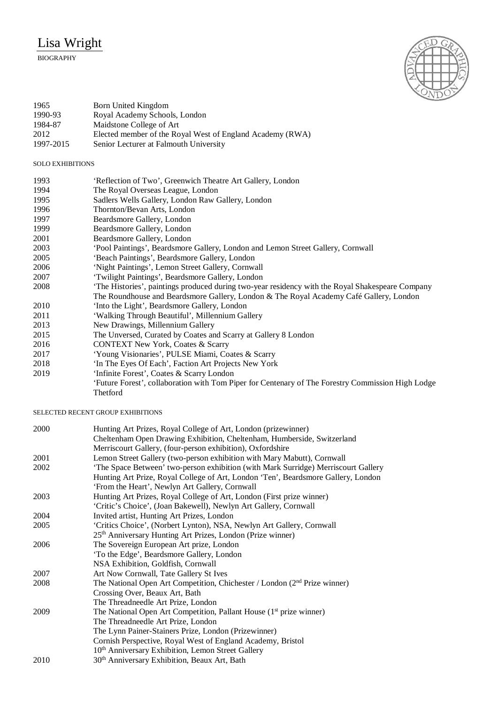## Lisa Wright

## BIOGRAPHY



| 1965      | Born United Kingdom                                       |
|-----------|-----------------------------------------------------------|
| 1990-93   | Royal Academy Schools, London                             |
| 1984-87   | Maidstone College of Art                                  |
| 2012      | Elected member of the Royal West of England Academy (RWA) |
| 1997-2015 | Senior Lecturer at Falmouth University                    |

## SOLO EXHIBITIONS

| 1993 | 'Reflection of Two', Greenwich Theatre Art Gallery, London                                        |
|------|---------------------------------------------------------------------------------------------------|
| 1994 | The Royal Overseas League, London                                                                 |
| 1995 | Sadlers Wells Gallery, London Raw Gallery, London                                                 |
| 1996 | Thornton/Bevan Arts, London                                                                       |
| 1997 | Beardsmore Gallery, London                                                                        |
| 1999 | Beardsmore Gallery, London                                                                        |
| 2001 | Beardsmore Gallery, London                                                                        |
| 2003 | 'Pool Paintings', Beardsmore Gallery, London and Lemon Street Gallery, Cornwall                   |
| 2005 | 'Beach Paintings', Beardsmore Gallery, London                                                     |
| 2006 | 'Night Paintings', Lemon Street Gallery, Cornwall                                                 |
| 2007 | 'Twilight Paintings', Beardsmore Gallery, London                                                  |
| 2008 | 'The Histories', paintings produced during two-year residency with the Royal Shakespeare Company  |
|      | The Roundhouse and Beardsmore Gallery, London & The Royal Academy Café Gallery, London            |
| 2010 | 'Into the Light', Beardsmore Gallery, London                                                      |
| 2011 | 'Walking Through Beautiful', Millennium Gallery                                                   |
| 2013 | New Drawings, Millennium Gallery                                                                  |
| 2015 | The Unversed, Curated by Coates and Scarry at Gallery 8 London                                    |
| 2016 | <b>CONTEXT New York, Coates &amp; Scarry</b>                                                      |
| 2017 | 'Young Visionaries', PULSE Miami, Coates & Scarry                                                 |
| 2018 | 'In The Eyes Of Each', Faction Art Projects New York                                              |
| 2019 | 'Infinite Forest', Coates & Scarry London                                                         |
|      | 'Future Forest', collaboration with Tom Piper for Centenary of The Forestry Commission High Lodge |

Thetford

SELECTED RECENT GROUP EXHIBITIONS

| 2000 | Hunting Art Prizes, Royal College of Art, London (prizewinner)                     |
|------|------------------------------------------------------------------------------------|
|      | Cheltenham Open Drawing Exhibition, Cheltenham, Humberside, Switzerland            |
|      | Merriscourt Gallery, (four-person exhibition), Oxfordshire                         |
| 2001 | Lemon Street Gallery (two-person exhibition with Mary Mabutt), Cornwall            |
| 2002 | 'The Space Between' two-person exhibition (with Mark Surridge) Merriscourt Gallery |
|      | Hunting Art Prize, Royal College of Art, London 'Ten', Beardsmore Gallery, London  |
|      | 'From the Heart', Newlyn Art Gallery, Cornwall                                     |
| 2003 | Hunting Art Prizes, Royal College of Art, London (First prize winner)              |
|      | 'Critic's Choice', (Joan Bakewell), Newlyn Art Gallery, Cornwall                   |
| 2004 | Invited artist, Hunting Art Prizes, London                                         |
| 2005 | 'Critics Choice', (Norbert Lynton), NSA, Newlyn Art Gallery, Cornwall              |
|      | 25 <sup>th</sup> Anniversary Hunting Art Prizes, London (Prize winner)             |
| 2006 | The Sovereign European Art prize, London                                           |
|      | 'To the Edge', Beardsmore Gallery, London                                          |
|      | NSA Exhibition, Goldfish, Cornwall                                                 |
| 2007 | Art Now Cornwall, Tate Gallery St Ives                                             |
| 2008 | The National Open Art Competition, Chichester / London $(2nd Prize winner)$        |
|      | Crossing Over, Beaux Art, Bath                                                     |
|      | The Threadneedle Art Prize, London                                                 |
| 2009 | The National Open Art Competition, Pallant House (1 <sup>st</sup> prize winner)    |
|      | The Threadneedle Art Prize, London                                                 |
|      | The Lynn Painer-Stainers Prize, London (Prizewinner)                               |
|      | Cornish Perspective, Royal West of England Academy, Bristol                        |
|      | 10 <sup>th</sup> Anniversary Exhibition, Lemon Street Gallery                      |
| 2010 | 30 <sup>th</sup> Anniversary Exhibition, Beaux Art, Bath                           |
|      |                                                                                    |